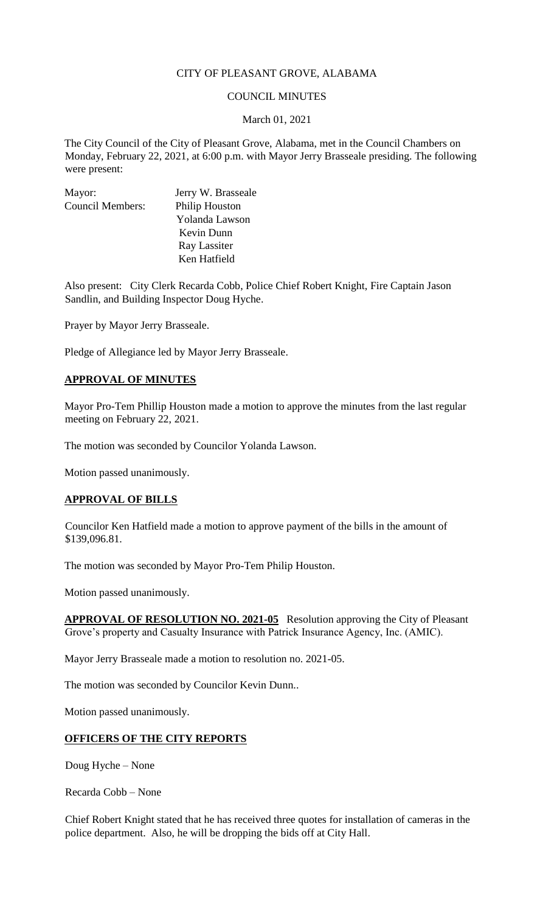## CITY OF PLEASANT GROVE, ALABAMA

### COUNCIL MINUTES

#### March 01, 2021

The City Council of the City of Pleasant Grove, Alabama, met in the Council Chambers on Monday, February 22, 2021, at 6:00 p.m. with Mayor Jerry Brasseale presiding. The following were present:

| Mayor:                  | Jerry W. Brasseale    |
|-------------------------|-----------------------|
| <b>Council Members:</b> | <b>Philip Houston</b> |
|                         | Yolanda Lawson        |
|                         | Kevin Dunn            |
|                         | Ray Lassiter          |
|                         | Ken Hatfield          |

Also present: City Clerk Recarda Cobb, Police Chief Robert Knight, Fire Captain Jason Sandlin, and Building Inspector Doug Hyche.

Prayer by Mayor Jerry Brasseale.

Pledge of Allegiance led by Mayor Jerry Brasseale.

#### **APPROVAL OF MINUTES**

Mayor Pro-Tem Phillip Houston made a motion to approve the minutes from the last regular meeting on February 22, 2021.

The motion was seconded by Councilor Yolanda Lawson.

Motion passed unanimously.

#### **APPROVAL OF BILLS**

Councilor Ken Hatfield made a motion to approve payment of the bills in the amount of \$139,096.81.

The motion was seconded by Mayor Pro-Tem Philip Houston.

Motion passed unanimously.

**APPROVAL OF RESOLUTION NO. 2021-05** Resolution approving the City of Pleasant Grove's property and Casualty Insurance with Patrick Insurance Agency, Inc. (AMIC).

Mayor Jerry Brasseale made a motion to resolution no. 2021-05.

The motion was seconded by Councilor Kevin Dunn..

Motion passed unanimously.

#### **OFFICERS OF THE CITY REPORTS**

Doug Hyche – None

Recarda Cobb – None

Chief Robert Knight stated that he has received three quotes for installation of cameras in the police department. Also, he will be dropping the bids off at City Hall.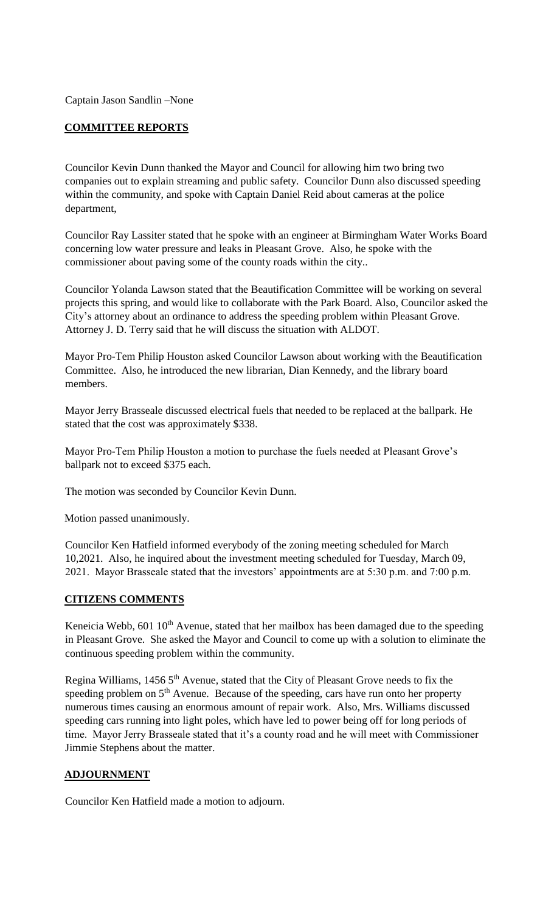Captain Jason Sandlin –None

# **COMMITTEE REPORTS**

Councilor Kevin Dunn thanked the Mayor and Council for allowing him two bring two companies out to explain streaming and public safety. Councilor Dunn also discussed speeding within the community, and spoke with Captain Daniel Reid about cameras at the police department,

Councilor Ray Lassiter stated that he spoke with an engineer at Birmingham Water Works Board concerning low water pressure and leaks in Pleasant Grove. Also, he spoke with the commissioner about paving some of the county roads within the city..

Councilor Yolanda Lawson stated that the Beautification Committee will be working on several projects this spring, and would like to collaborate with the Park Board. Also, Councilor asked the City's attorney about an ordinance to address the speeding problem within Pleasant Grove. Attorney J. D. Terry said that he will discuss the situation with ALDOT.

Mayor Pro-Tem Philip Houston asked Councilor Lawson about working with the Beautification Committee. Also, he introduced the new librarian, Dian Kennedy, and the library board members.

Mayor Jerry Brasseale discussed electrical fuels that needed to be replaced at the ballpark. He stated that the cost was approximately \$338.

Mayor Pro-Tem Philip Houston a motion to purchase the fuels needed at Pleasant Grove's ballpark not to exceed \$375 each.

The motion was seconded by Councilor Kevin Dunn.

Motion passed unanimously.

Councilor Ken Hatfield informed everybody of the zoning meeting scheduled for March 10,2021. Also, he inquired about the investment meeting scheduled for Tuesday, March 09, 2021. Mayor Brasseale stated that the investors' appointments are at 5:30 p.m. and 7:00 p.m.

## **CITIZENS COMMENTS**

Keneicia Webb, 601 10<sup>th</sup> Avenue, stated that her mailbox has been damaged due to the speeding in Pleasant Grove. She asked the Mayor and Council to come up with a solution to eliminate the continuous speeding problem within the community.

Regina Williams, 1456 5<sup>th</sup> Avenue, stated that the City of Pleasant Grove needs to fix the speeding problem on  $5<sup>th</sup>$  Avenue. Because of the speeding, cars have run onto her property numerous times causing an enormous amount of repair work. Also, Mrs. Williams discussed speeding cars running into light poles, which have led to power being off for long periods of time. Mayor Jerry Brasseale stated that it's a county road and he will meet with Commissioner Jimmie Stephens about the matter.

## **ADJOURNMENT**

Councilor Ken Hatfield made a motion to adjourn.